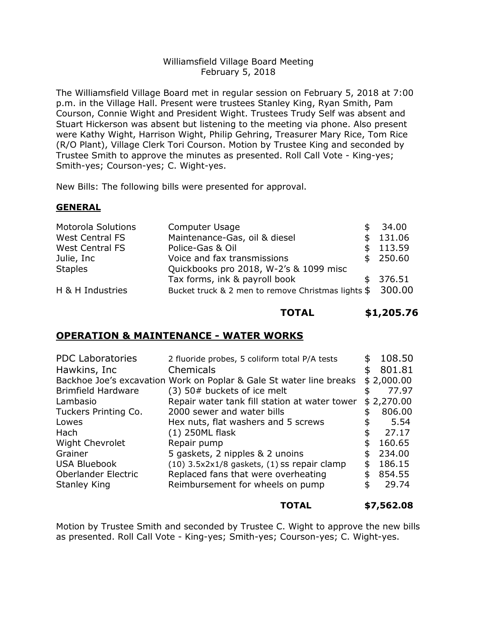#### Williamsfield Village Board Meeting February 5, 2018

The Williamsfield Village Board met in regular session on February 5, 2018 at 7:00 p.m. in the Village Hall. Present were trustees Stanley King, Ryan Smith, Pam Courson, Connie Wight and President Wight. Trustees Trudy Self was absent and Stuart Hickerson was absent but listening to the meeting via phone. Also present were Kathy Wight, Harrison Wight, Philip Gehring, Treasurer Mary Rice, Tom Rice (R/O Plant), Village Clerk Tori Courson. Motion by Trustee King and seconded by Trustee Smith to approve the minutes as presented. Roll Call Vote - King-yes; Smith-yes; Courson-yes; C. Wight-yes.

New Bills: The following bills were presented for approval.

### **GENERAL**

| <b>Motorola Solutions</b> | Computer Usage                                     | 34.00    |
|---------------------------|----------------------------------------------------|----------|
| <b>West Central FS</b>    | Maintenance-Gas, oil & diesel                      | 131.06   |
| <b>West Central FS</b>    | Police-Gas & Oil                                   | \$113.59 |
| Julie, Inc                | Voice and fax transmissions                        | \$250.60 |
| <b>Staples</b>            | Quickbooks pro 2018, W-2's & 1099 misc             |          |
|                           | Tax forms, ink & payroll book                      | \$376.51 |
| H & H Industries          | Bucket truck & 2 men to remove Christmas lights \$ | 300.00   |

# **TOTAL \$1,205.76**

## **OPERATION & MAINTENANCE - WATER WORKS**

| 2 fluoride probes, 5 coliform total P/A tests                       |                                                                                                                           | 108.50     |
|---------------------------------------------------------------------|---------------------------------------------------------------------------------------------------------------------------|------------|
| Chemicals                                                           |                                                                                                                           | 801.81     |
| Backhoe Joe's excavation Work on Poplar & Gale St water line breaks |                                                                                                                           | \$2,000.00 |
| (3) 50# buckets of ice melt                                         |                                                                                                                           | 77.97      |
| Repair water tank fill station at water tower                       |                                                                                                                           | \$2,270.00 |
| 2000 sewer and water bills                                          | ና.                                                                                                                        | 806.00     |
|                                                                     |                                                                                                                           | 5.54       |
| (1) 250ML flask                                                     |                                                                                                                           | 27.17      |
| Repair pump                                                         |                                                                                                                           | 160.65     |
|                                                                     |                                                                                                                           | 234.00     |
|                                                                     | \$                                                                                                                        | 186.15     |
| Replaced fans that were overheating                                 | \$                                                                                                                        | 854.55     |
| Reimbursement for wheels on pump                                    | S                                                                                                                         | 29.74      |
|                                                                     | Hex nuts, flat washers and 5 screws<br>5 gaskets, 2 nipples & 2 unoins<br>$(10)$ 3.5x2x1/8 gaskets, $(1)$ ss repair clamp |            |

### **TOTAL \$7,562.08**

Motion by Trustee Smith and seconded by Trustee C. Wight to approve the new bills as presented. Roll Call Vote - King-yes; Smith-yes; Courson-yes; C. Wight-yes.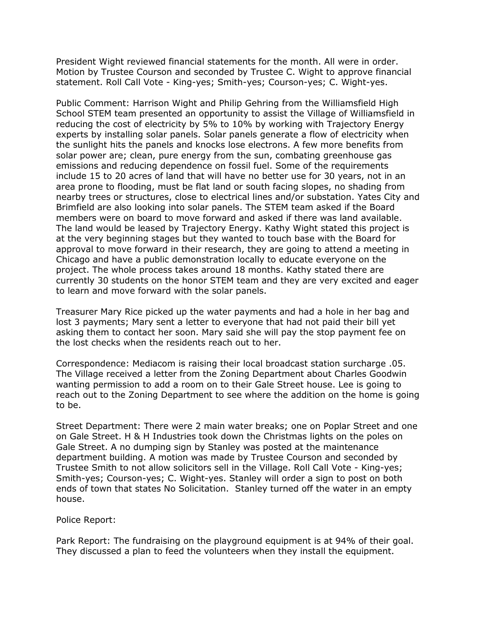President Wight reviewed financial statements for the month. All were in order. Motion by Trustee Courson and seconded by Trustee C. Wight to approve financial statement. Roll Call Vote - King-yes; Smith-yes; Courson-yes; C. Wight-yes.

Public Comment: Harrison Wight and Philip Gehring from the Williamsfield High School STEM team presented an opportunity to assist the Village of Williamsfield in reducing the cost of electricity by 5% to 10% by working with Trajectory Energy experts by installing solar panels. Solar panels generate a flow of electricity when the sunlight hits the panels and knocks lose electrons. A few more benefits from solar power are; clean, pure energy from the sun, combating greenhouse gas emissions and reducing dependence on fossil fuel. Some of the requirements include 15 to 20 acres of land that will have no better use for 30 years, not in an area prone to flooding, must be flat land or south facing slopes, no shading from nearby trees or structures, close to electrical lines and/or substation. Yates City and Brimfield are also looking into solar panels. The STEM team asked if the Board members were on board to move forward and asked if there was land available. The land would be leased by Trajectory Energy. Kathy Wight stated this project is at the very beginning stages but they wanted to touch base with the Board for approval to move forward in their research, they are going to attend a meeting in Chicago and have a public demonstration locally to educate everyone on the project. The whole process takes around 18 months. Kathy stated there are currently 30 students on the honor STEM team and they are very excited and eager to learn and move forward with the solar panels.

Treasurer Mary Rice picked up the water payments and had a hole in her bag and lost 3 payments; Mary sent a letter to everyone that had not paid their bill yet asking them to contact her soon. Mary said she will pay the stop payment fee on the lost checks when the residents reach out to her.

Correspondence: Mediacom is raising their local broadcast station surcharge .05. The Village received a letter from the Zoning Department about Charles Goodwin wanting permission to add a room on to their Gale Street house. Lee is going to reach out to the Zoning Department to see where the addition on the home is going to be.

Street Department: There were 2 main water breaks; one on Poplar Street and one on Gale Street. H & H Industries took down the Christmas lights on the poles on Gale Street. A no dumping sign by Stanley was posted at the maintenance department building. A motion was made by Trustee Courson and seconded by Trustee Smith to not allow solicitors sell in the Village. Roll Call Vote - King-yes; Smith-yes; Courson-yes; C. Wight-yes. Stanley will order a sign to post on both ends of town that states No Solicitation. Stanley turned off the water in an empty house.

Police Report:

Park Report: The fundraising on the playground equipment is at 94% of their goal. They discussed a plan to feed the volunteers when they install the equipment.